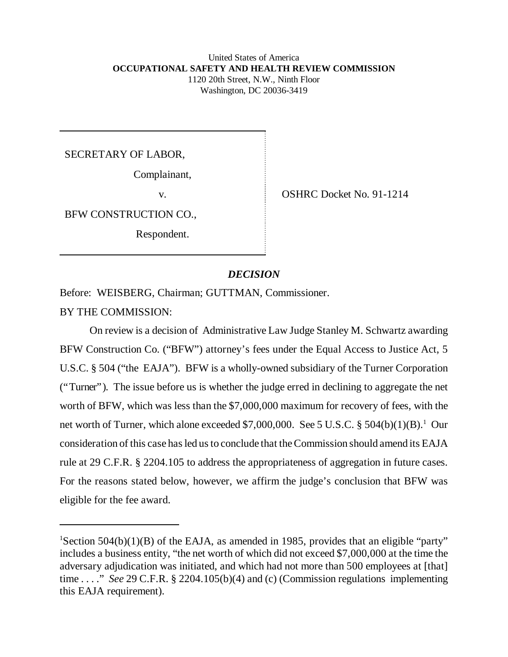#### United States of America **OCCUPATIONAL SAFETY AND HEALTH REVIEW COMMISSION** 1120 20th Street, N.W., Ninth Floor Washington, DC 20036-3419

SECRETARY OF LABOR,

Complainant,

BFW CONSTRUCTION CO.,

Respondent.

v. SHRC Docket No. 91-1214

# *DECISION*

Before: WEISBERG, Chairman; GUTTMAN, Commissioner.

BY THE COMMISSION:

On review is a decision of Administrative Law Judge Stanley M. Schwartz awarding BFW Construction Co. ("BFW") attorney's fees under the Equal Access to Justice Act, 5 U.S.C. § 504 ("the EAJA"). BFW is a wholly-owned subsidiary of the Turner Corporation ("Turner"). The issue before us is whether the judge erred in declining to aggregate the net worth of BFW, which was less than the \$7,000,000 maximum for recovery of fees, with the net worth of Turner, which alone exceeded \$7,000,000. See 5 U.S.C.  $\S 504(b)(1)(B)$ .<sup>1</sup> Our consideration of this case has led us to conclude that the Commission should amend its EAJA rule at 29 C.F.R. § 2204.105 to address the appropriateness of aggregation in future cases. For the reasons stated below, however, we affirm the judge's conclusion that BFW was eligible for the fee award.

<sup>&</sup>lt;sup>1</sup>Section 504(b)(1)(B) of the EAJA, as amended in 1985, provides that an eligible "party" includes a business entity, "the net worth of which did not exceed \$7,000,000 at the time the adversary adjudication was initiated, and which had not more than 500 employees at [that] time . . . ." *See* 29 C.F.R. § 2204.105(b)(4) and (c) (Commission regulations implementing this EAJA requirement).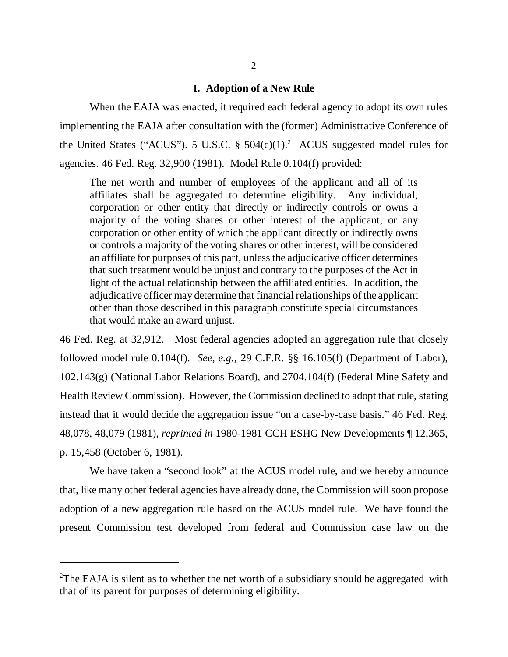### **I. Adoption of a New Rule**

 When the EAJA was enacted, it required each federal agency to adopt its own rules implementing the EAJA after consultation with the (former) Administrative Conference of the United States ("ACUS"). 5 U.S.C.  $\S$  504(c)(1).<sup>2</sup> ACUS suggested model rules for agencies. 46 Fed. Reg. 32,900 (1981). Model Rule 0.104(f) provided:

The net worth and number of employees of the applicant and all of its affiliates shall be aggregated to determine eligibility. Any individual, corporation or other entity that directly or indirectly controls or owns a majority of the voting shares or other interest of the applicant, or any corporation or other entity of which the applicant directly or indirectly owns or controls a majority of the voting shares or other interest, will be considered an affiliate for purposes of this part, unless the adjudicative officer determines that such treatment would be unjust and contrary to the purposes of the Act in light of the actual relationship between the affiliated entities. In addition, the adjudicative officer may determine that financial relationships of the applicant other than those described in this paragraph constitute special circumstances that would make an award unjust.

46 Fed. Reg. at 32,912. Most federal agencies adopted an aggregation rule that closely followed model rule 0.104(f). *See, e.g.,* 29 C.F.R. §§ 16.105(f) (Department of Labor), 102.143(g) (National Labor Relations Board), and 2704.104(f) (Federal Mine Safety and Health Review Commission). However, the Commission declined to adopt that rule, stating instead that it would decide the aggregation issue "on a case-by-case basis." 46 Fed. Reg. 48,078, 48,079 (1981), *reprinted in* 1980-1981 CCH ESHG New Developments ¶ 12,365, p. 15,458 (October 6, 1981).

We have taken a "second look" at the ACUS model rule, and we hereby announce that, like many other federal agencies have already done, the Commission will soon propose adoption of a new aggregation rule based on the ACUS model rule. We have found the present Commission test developed from federal and Commission case law on the

<sup>&</sup>lt;sup>2</sup>The EAJA is silent as to whether the net worth of a subsidiary should be aggregated with that of its parent for purposes of determining eligibility.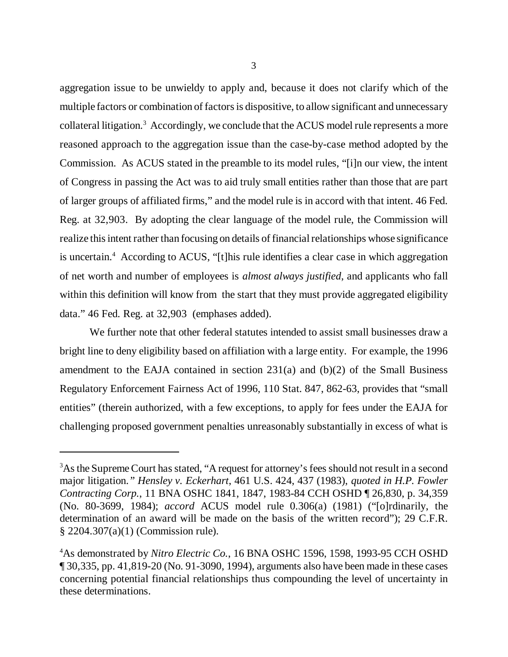aggregation issue to be unwieldy to apply and, because it does not clarify which of the multiple factors or combination of factors is dispositive, to allow significant and unnecessary collateral litigation.<sup>3</sup> Accordingly, we conclude that the ACUS model rule represents a more reasoned approach to the aggregation issue than the case-by-case method adopted by the Commission. As ACUS stated in the preamble to its model rules, "[i]n our view, the intent of Congress in passing the Act was to aid truly small entities rather than those that are part of larger groups of affiliated firms," and the model rule is in accord with that intent. 46 Fed. Reg. at 32,903. By adopting the clear language of the model rule, the Commission will realize this intent rather than focusing on details of financial relationships whose significance is uncertain.<sup>4</sup> According to ACUS, "[t]his rule identifies a clear case in which aggregation of net worth and number of employees is *almost always justified*, and applicants who fall within this definition will know from the start that they must provide aggregated eligibility data." 46 Fed. Reg. at 32,903 (emphases added).

We further note that other federal statutes intended to assist small businesses draw a bright line to deny eligibility based on affiliation with a large entity. For example, the 1996 amendment to the EAJA contained in section  $231(a)$  and  $(b)(2)$  of the Small Business Regulatory Enforcement Fairness Act of 1996, 110 Stat. 847, 862-63, provides that "small entities" (therein authorized, with a few exceptions, to apply for fees under the EAJA for challenging proposed government penalties unreasonably substantially in excess of what is

<sup>&</sup>lt;sup>3</sup>As the Supreme Court has stated, "A request for attorney's fees should not result in a second major litigation.*" Hensley v. Eckerhart*, 461 U.S. 424, 437 (1983), *quoted in H.P. Fowler Contracting Corp.*, 11 BNA OSHC 1841, 1847, 1983-84 CCH OSHD ¶ 26,830, p. 34,359 (No. 80-3699, 1984); *accord* ACUS model rule 0.306(a) (1981) ("[o]rdinarily, the determination of an award will be made on the basis of the written record"); 29 C.F.R. § 2204.307(a)(1) (Commission rule).

<sup>4</sup>As demonstrated by *Nitro Electric Co.*, 16 BNA OSHC 1596, 1598, 1993-95 CCH OSHD ¶ 30,335, pp. 41,819-20 (No. 91-3090, 1994), arguments also have been made in these cases concerning potential financial relationships thus compounding the level of uncertainty in these determinations.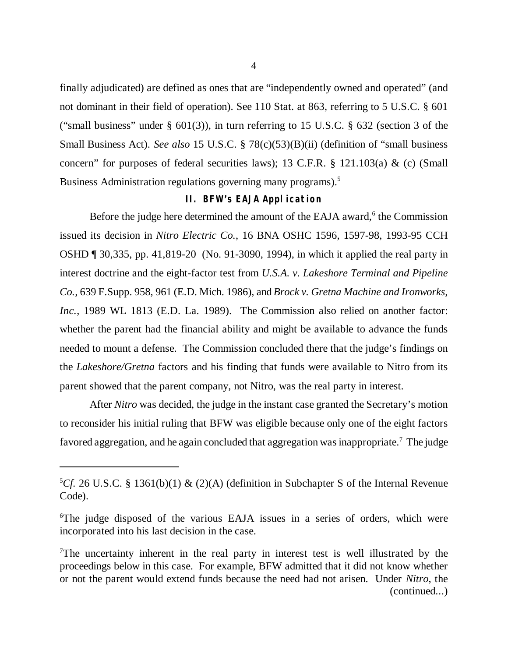finally adjudicated) are defined as ones that are "independently owned and operated" (and not dominant in their field of operation). See 110 Stat. at 863, referring to 5 U.S.C. § 601 ("small business" under  $\S$  601(3)), in turn referring to 15 U.S.C.  $\S$  632 (section 3 of the Small Business Act). *See also* 15 U.S.C. § 78(c)(53)(B)(ii) (definition of "small business concern" for purposes of federal securities laws); 13 C.F.R.  $\S$  121.103(a) & (c) (Small Business Administration regulations governing many programs).<sup>5</sup>

## **II. BFW's EAJA Application**

Before the judge here determined the amount of the EAJA award,<sup>6</sup> the Commission issued its decision in *Nitro Electric Co.*, 16 BNA OSHC 1596, 1597-98, 1993-95 CCH OSHD ¶ 30,335, pp. 41,819-20 (No. 91-3090, 1994), in which it applied the real party in interest doctrine and the eight-factor test from *U.S.A. v. Lakeshore Terminal and Pipeline Co.,* 639 F.Supp. 958, 961 (E.D. Mich. 1986), and *Brock v. Gretna Machine and Ironworks, Inc.*, 1989 WL 1813 (E.D. La. 1989). The Commission also relied on another factor: whether the parent had the financial ability and might be available to advance the funds needed to mount a defense. The Commission concluded there that the judge's findings on the *Lakeshore/Gretna* factors and his finding that funds were available to Nitro from its parent showed that the parent company, not Nitro, was the real party in interest.

After *Nitro* was decided, the judge in the instant case granted the Secretary's motion to reconsider his initial ruling that BFW was eligible because only one of the eight factors favored aggregation, and he again concluded that aggregation was inappropriate.<sup>7</sup> The judge

<sup>&</sup>lt;sup>5</sup>Cf. 26 U.S.C. § 1361(b)(1) & (2)(A) (definition in Subchapter S of the Internal Revenue Code).

<sup>&</sup>lt;sup>6</sup>The judge disposed of the various EAJA issues in a series of orders, which were incorporated into his last decision in the case.

<sup>&</sup>lt;sup>7</sup>The uncertainty inherent in the real party in interest test is well illustrated by the proceedings below in this case. For example, BFW admitted that it did not know whether or not the parent would extend funds because the need had not arisen. Under *Nitro*, the (continued...)